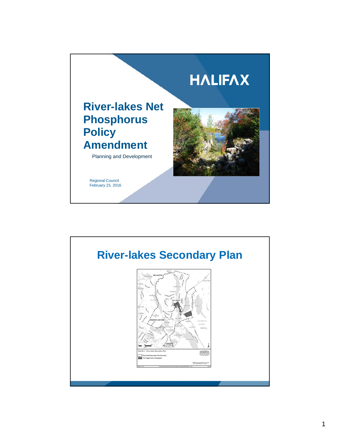

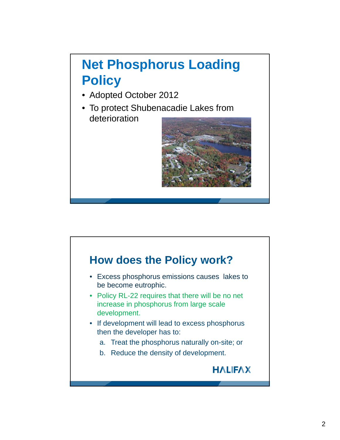## **Net Phosphorus Loading Policy**

- Adopted October 2012
- To protect Shubenacadie Lakes from deterioration





- Excess phosphorus emissions causes lakes to be become eutrophic.
- Policy RL-22 requires that there will be no net increase in phosphorus from large scale development.
- If development will lead to excess phosphorus then the developer has to:
	- a. Treat the phosphorus naturally on-site; or
	- b. Reduce the density of development.

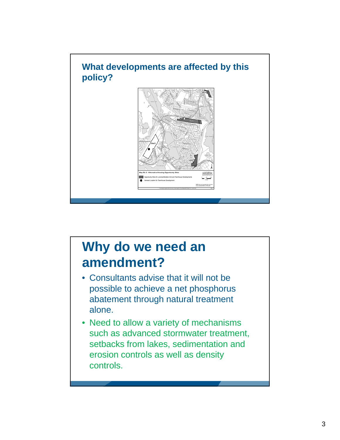

## **Why do we need an amendment?**

- Consultants advise that it will not be possible to achieve a net phosphorus abatement through natural treatment alone.
- Need to allow a variety of mechanisms such as advanced stormwater treatment, setbacks from lakes, sedimentation and erosion controls as well as density controls.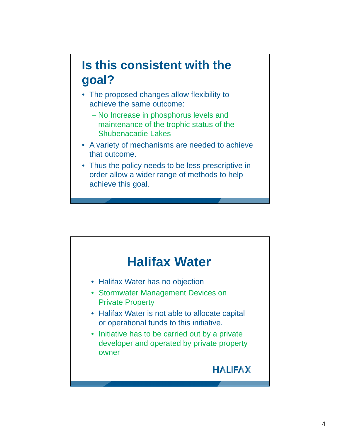## **Is this consistent with the goal?**

- The proposed changes allow flexibility to achieve the same outcome:
	- No Increase in phosphorus levels and maintenance of the trophic status of the Shubenacadie Lakes
- A variety of mechanisms are needed to achieve that outcome.
- Thus the policy needs to be less prescriptive in order allow a wider range of methods to help achieve this goal.

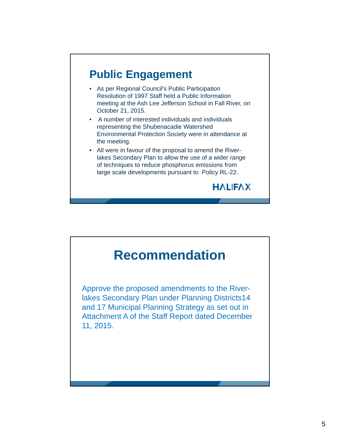

- As per Regional Council's Public Participation Resolution of 1997 Staff held a Public Information meeting at the Ash Lee Jefferson School in Fall River, on October 21, 2015.
- A number of interested individuals and individuals representing the Shubenacadie Watershed Environmental Protection Society were in attendance at the meeting.
- All were in favour of the proposal to amend the Riverlakes Secondary Plan to allow the use of a wider range of techniques to reduce phosphorus emissions from large scale developments pursuant to Policy RL-22.

**HALIFAX**